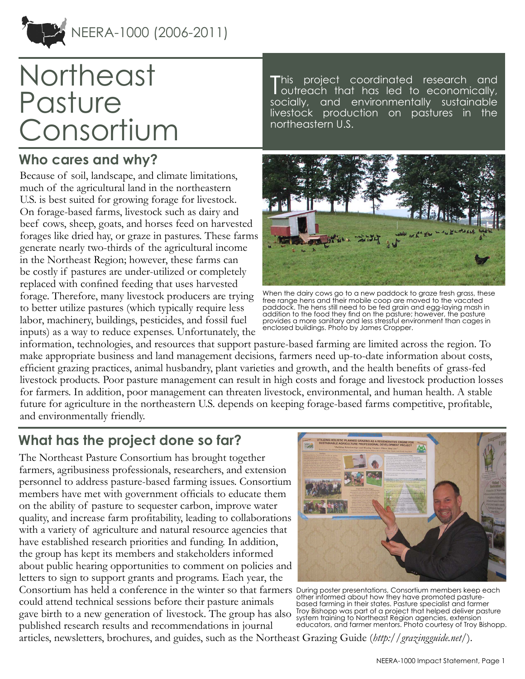

# **Northeast** Pasture Consortium

## **Who cares and why?**

Because of soil, landscape, and climate limitations, much of the agricultural land in the northeastern U.S. is best suited for growing forage for livestock. On forage-based farms, livestock such as dairy and beef cows, sheep, goats, and horses feed on harvested forages like dried hay, or graze in pastures. These farms generate nearly two-thirds of the agricultural income in the Northeast Region; however, these farms can be costly if pastures are under-utilized or completely replaced with confined feeding that uses harvested forage. Therefore, many livestock producers are trying to better utilize pastures (which typically require less labor, machinery, buildings, pesticides, and fossil fuel inputs) as a way to reduce expenses. Unfortunately, the

T his project coordinated research and outreach that has led to economically, socially, and environmentally sustainable livestock production on pastures in the northeastern U.S.



When the dairy cows go to a new paddock to graze fresh grass, these free range hens and their mobile coop are moved to the vacated paddock. The hens still need to be fed grain and egg-laying mash in addition to the food they find on the pasture; however, the pasture provides a more sanitary and less stressful environment than cages in enclosed buildings. Photo by James Cropper.

information, technologies, and resources that support pasture-based farming are limited across the region. To make appropriate business and land management decisions, farmers need up-to-date information about costs, efficient grazing practices, animal husbandry, plant varieties and growth, and the health benefits of grass-fed livestock products. Poor pasture management can result in high costs and forage and livestock production losses for farmers. In addition, poor management can threaten livestock, environmental, and human health. A stable future for agriculture in the northeastern U.S. depends on keeping forage-based farms competitive, profitable, and environmentally friendly.

## **What has the project done so far?**

The Northeast Pasture Consortium has brought together farmers, agribusiness professionals, researchers, and extension personnel to address pasture-based farming issues. Consortium members have met with government officials to educate them on the ability of pasture to sequester carbon, improve water quality, and increase farm profitability, leading to collaborations with a variety of agriculture and natural resource agencies that have established research priorities and funding. In addition, the group has kept its members and stakeholders informed about public hearing opportunities to comment on policies and letters to sign to support grants and programs. Each year, the Consortium has held a conference in the winter so that farmers During poster presentations, Consortium members keep each could attend technical sessions before their pasture animals gave birth to a new generation of livestock. The group has also published research results and recommendations in journal



other informed about how they have promoted pasturebased farming in their states. Pasture specialist and farmer Troy Bishopp was part of a project that helped deliver pasture system training to Northeast Region agencies, extension educators, and farmer mentors. Photo courtesy of Troy Bishopp.

articles, newsletters, brochures, and guides, such as the Northeast Grazing Guide (*<http://grazingguide.net/>*).